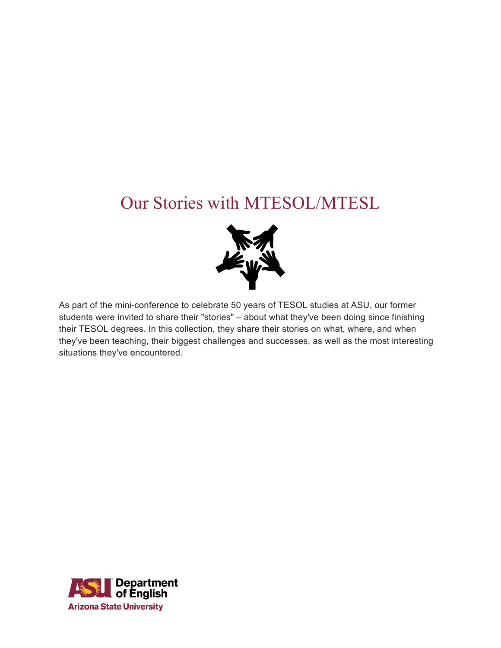## Our Stories with MTESOL/MTESL



As part of the mini-conference to celebrate 50 years of TESOL studies at ASU, our former students were invited to share their "stories" – about what they've been doing since finishing their TESOL degrees. In this collection, they share their stories on what, where, and when they've been teaching, their biggest challenges and successes, as well as the most interesting situations they've encountered.

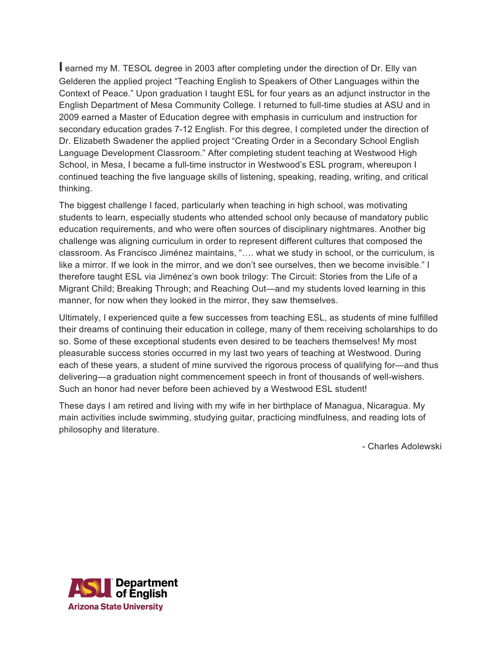**I** earned my M. TESOL degree in 2003 after completing under the direction of Dr. Elly van Gelderen the applied project "Teaching English to Speakers of Other Languages within the Context of Peace." Upon graduation I taught ESL for four years as an adjunct instructor in the English Department of Mesa Community College. I returned to full-time studies at ASU and in 2009 earned a Master of Education degree with emphasis in curriculum and instruction for secondary education grades 7-12 English. For this degree, I completed under the direction of Dr. Elizabeth Swadener the applied project "Creating Order in a Secondary School English Language Development Classroom." After completing student teaching at Westwood High School, in Mesa, I became a full-time instructor in Westwood's ESL program, whereupon I continued teaching the five language skills of listening, speaking, reading, writing, and critical thinking.

The biggest challenge I faced, particularly when teaching in high school, was motivating students to learn, especially students who attended school only because of mandatory public education requirements, and who were often sources of disciplinary nightmares. Another big challenge was aligning curriculum in order to represent different cultures that composed the classroom. As Francisco Jiménez maintains, "…. what we study in school, or the curriculum, is like a mirror. If we look in the mirror, and we don't see ourselves, then we become invisible." I therefore taught ESL via Jiménez's own book trilogy: The Circuit: Stories from the Life of a Migrant Child; Breaking Through; and Reaching Out—and my students loved learning in this manner, for now when they looked in the mirror, they saw themselves.

Ultimately, I experienced quite a few successes from teaching ESL, as students of mine fulfilled their dreams of continuing their education in college, many of them receiving scholarships to do so. Some of these exceptional students even desired to be teachers themselves! My most pleasurable success stories occurred in my last two years of teaching at Westwood. During each of these years, a student of mine survived the rigorous process of qualifying for—and thus delivering—a graduation night commencement speech in front of thousands of well-wishers. Such an honor had never before been achieved by a Westwood ESL student!

These days I am retired and living with my wife in her birthplace of Managua, Nicaragua. My main activities include swimming, studying guitar, practicing mindfulness, and reading lots of philosophy and literature.

- Charles Adolewski

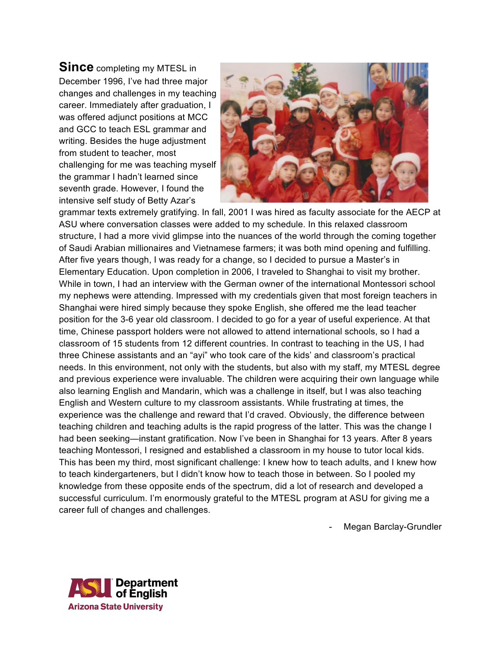**Since** completing my MTESL in December 1996, I've had three major changes and challenges in my teaching career. Immediately after graduation, I was offered adjunct positions at MCC and GCC to teach ESL grammar and writing. Besides the huge adjustment from student to teacher, most challenging for me was teaching myself the grammar I hadn't learned since seventh grade. However, I found the intensive self study of Betty Azar's



grammar texts extremely gratifying. In fall, 2001 I was hired as faculty associate for the AECP at ASU where conversation classes were added to my schedule. In this relaxed classroom structure, I had a more vivid glimpse into the nuances of the world through the coming together of Saudi Arabian millionaires and Vietnamese farmers; it was both mind opening and fulfilling. After five years though, I was ready for a change, so I decided to pursue a Master's in Elementary Education. Upon completion in 2006, I traveled to Shanghai to visit my brother. While in town, I had an interview with the German owner of the international Montessori school my nephews were attending. Impressed with my credentials given that most foreign teachers in Shanghai were hired simply because they spoke English, she offered me the lead teacher position for the 3-6 year old classroom. I decided to go for a year of useful experience. At that time, Chinese passport holders were not allowed to attend international schools, so I had a classroom of 15 students from 12 different countries. In contrast to teaching in the US, I had three Chinese assistants and an "ayi" who took care of the kids' and classroom's practical needs. In this environment, not only with the students, but also with my staff, my MTESL degree and previous experience were invaluable. The children were acquiring their own language while also learning English and Mandarin, which was a challenge in itself, but I was also teaching English and Western culture to my classroom assistants. While frustrating at times, the experience was the challenge and reward that I'd craved. Obviously, the difference between teaching children and teaching adults is the rapid progress of the latter. This was the change I had been seeking—instant gratification. Now I've been in Shanghai for 13 years. After 8 years teaching Montessori, I resigned and established a classroom in my house to tutor local kids. This has been my third, most significant challenge: I knew how to teach adults, and I knew how to teach kindergarteners, but I didn't know how to teach those in between. So I pooled my knowledge from these opposite ends of the spectrum, did a lot of research and developed a successful curriculum. I'm enormously grateful to the MTESL program at ASU for giving me a career full of changes and challenges.

Megan Barclay-Grundler

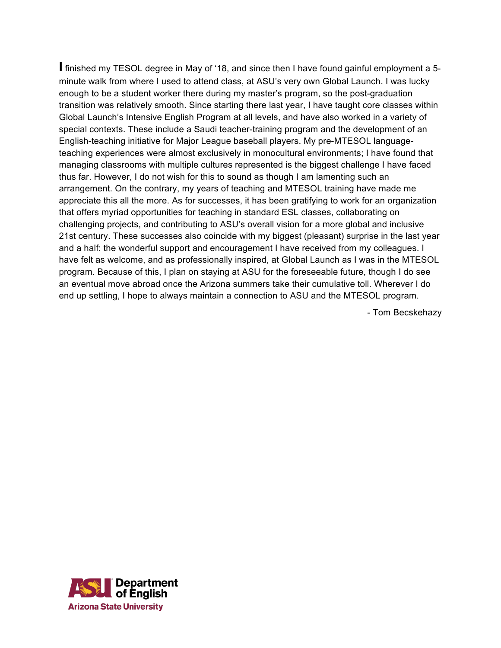**I** finished my TESOL degree in May of '18, and since then I have found gainful employment a 5 minute walk from where I used to attend class, at ASU's very own Global Launch. I was lucky enough to be a student worker there during my master's program, so the post-graduation transition was relatively smooth. Since starting there last year, I have taught core classes within Global Launch's Intensive English Program at all levels, and have also worked in a variety of special contexts. These include a Saudi teacher-training program and the development of an English-teaching initiative for Major League baseball players. My pre-MTESOL languageteaching experiences were almost exclusively in monocultural environments; I have found that managing classrooms with multiple cultures represented is the biggest challenge I have faced thus far. However, I do not wish for this to sound as though I am lamenting such an arrangement. On the contrary, my years of teaching and MTESOL training have made me appreciate this all the more. As for successes, it has been gratifying to work for an organization that offers myriad opportunities for teaching in standard ESL classes, collaborating on challenging projects, and contributing to ASU's overall vision for a more global and inclusive 21st century. These successes also coincide with my biggest (pleasant) surprise in the last year and a half: the wonderful support and encouragement I have received from my colleagues. I have felt as welcome, and as professionally inspired, at Global Launch as I was in the MTESOL program. Because of this, I plan on staying at ASU for the foreseeable future, though I do see an eventual move abroad once the Arizona summers take their cumulative toll. Wherever I do end up settling, I hope to always maintain a connection to ASU and the MTESOL program.

- Tom Becskehazy

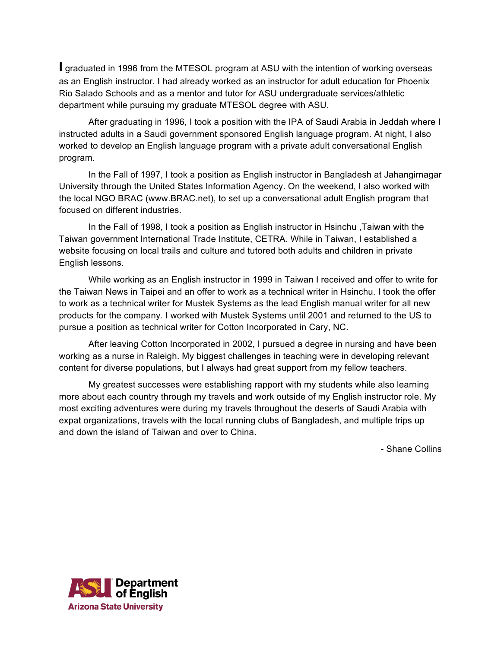**I** graduated in 1996 from the MTESOL program at ASU with the intention of working overseas as an English instructor. I had already worked as an instructor for adult education for Phoenix Rio Salado Schools and as a mentor and tutor for ASU undergraduate services/athletic department while pursuing my graduate MTESOL degree with ASU.

After graduating in 1996, I took a position with the IPA of Saudi Arabia in Jeddah where I instructed adults in a Saudi government sponsored English language program. At night, I also worked to develop an English language program with a private adult conversational English program.

In the Fall of 1997, I took a position as English instructor in Bangladesh at Jahangirnagar University through the United States Information Agency. On the weekend, I also worked with the local NGO BRAC (www.BRAC.net), to set up a conversational adult English program that focused on different industries.

In the Fall of 1998, I took a position as English instructor in Hsinchu ,Taiwan with the Taiwan government International Trade Institute, CETRA. While in Taiwan, I established a website focusing on local trails and culture and tutored both adults and children in private English lessons.

While working as an English instructor in 1999 in Taiwan I received and offer to write for the Taiwan News in Taipei and an offer to work as a technical writer in Hsinchu. I took the offer to work as a technical writer for Mustek Systems as the lead English manual writer for all new products for the company. I worked with Mustek Systems until 2001 and returned to the US to pursue a position as technical writer for Cotton Incorporated in Cary, NC.

After leaving Cotton Incorporated in 2002, I pursued a degree in nursing and have been working as a nurse in Raleigh. My biggest challenges in teaching were in developing relevant content for diverse populations, but I always had great support from my fellow teachers.

My greatest successes were establishing rapport with my students while also learning more about each country through my travels and work outside of my English instructor role. My most exciting adventures were during my travels throughout the deserts of Saudi Arabia with expat organizations, travels with the local running clubs of Bangladesh, and multiple trips up and down the island of Taiwan and over to China.

- Shane Collins

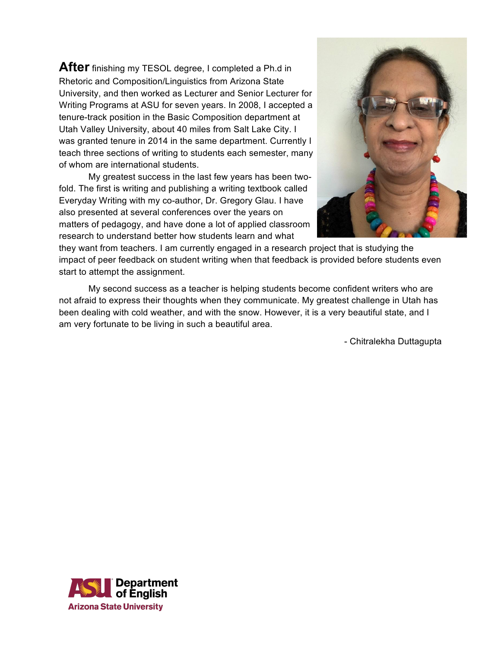**After** finishing my TESOL degree, I completed a Ph.d in Rhetoric and Composition/Linguistics from Arizona State University, and then worked as Lecturer and Senior Lecturer for Writing Programs at ASU for seven years. In 2008, I accepted a tenure-track position in the Basic Composition department at Utah Valley University, about 40 miles from Salt Lake City. I was granted tenure in 2014 in the same department. Currently I teach three sections of writing to students each semester, many of whom are international students.

My greatest success in the last few years has been twofold. The first is writing and publishing a writing textbook called Everyday Writing with my co-author, Dr. Gregory Glau. I have also presented at several conferences over the years on matters of pedagogy, and have done a lot of applied classroom research to understand better how students learn and what



they want from teachers. I am currently engaged in a research project that is studying the impact of peer feedback on student writing when that feedback is provided before students even start to attempt the assignment.

My second success as a teacher is helping students become confident writers who are not afraid to express their thoughts when they communicate. My greatest challenge in Utah has been dealing with cold weather, and with the snow. However, it is a very beautiful state, and I am very fortunate to be living in such a beautiful area.

- Chitralekha Duttagupta

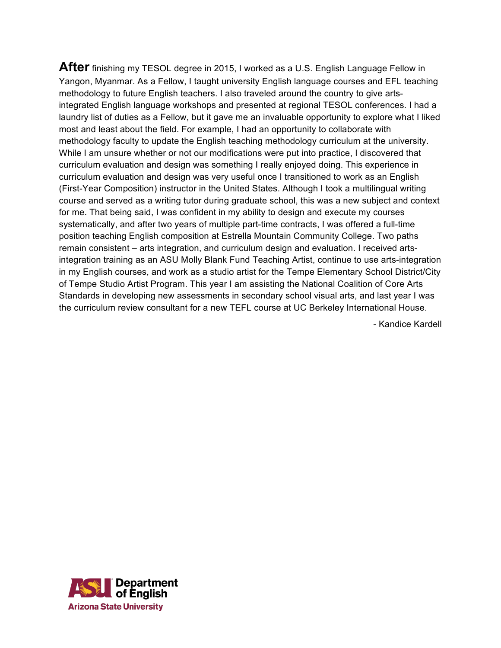**After** finishing my TESOL degree in 2015, I worked as a U.S. English Language Fellow in Yangon, Myanmar. As a Fellow, I taught university English language courses and EFL teaching methodology to future English teachers. I also traveled around the country to give artsintegrated English language workshops and presented at regional TESOL conferences. I had a laundry list of duties as a Fellow, but it gave me an invaluable opportunity to explore what I liked most and least about the field. For example, I had an opportunity to collaborate with methodology faculty to update the English teaching methodology curriculum at the university. While I am unsure whether or not our modifications were put into practice, I discovered that curriculum evaluation and design was something I really enjoyed doing. This experience in curriculum evaluation and design was very useful once I transitioned to work as an English (First-Year Composition) instructor in the United States. Although I took a multilingual writing course and served as a writing tutor during graduate school, this was a new subject and context for me. That being said, I was confident in my ability to design and execute my courses systematically, and after two years of multiple part-time contracts, I was offered a full-time position teaching English composition at Estrella Mountain Community College. Two paths remain consistent – arts integration, and curriculum design and evaluation. I received artsintegration training as an ASU Molly Blank Fund Teaching Artist, continue to use arts-integration in my English courses, and work as a studio artist for the Tempe Elementary School District/City of Tempe Studio Artist Program. This year I am assisting the National Coalition of Core Arts Standards in developing new assessments in secondary school visual arts, and last year I was the curriculum review consultant for a new TEFL course at UC Berkeley International House.

- Kandice Kardell

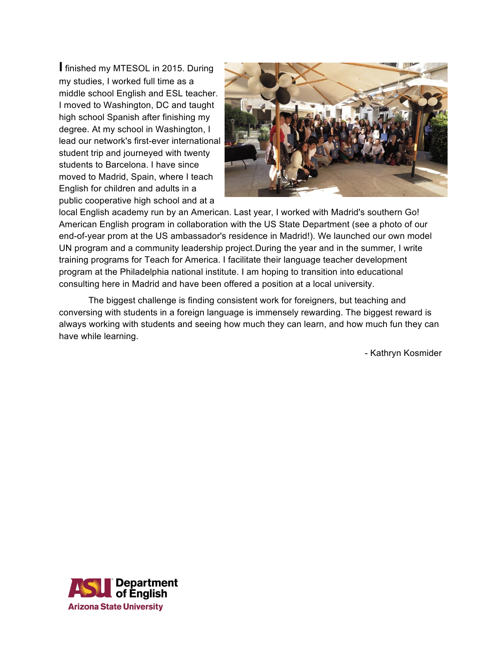**I** finished my MTESOL in 2015. During my studies, I worked full time as a middle school English and ESL teacher. I moved to Washington, DC and taught high school Spanish after finishing my degree. At my school in Washington, I lead our network's first-ever international student trip and journeyed with twenty students to Barcelona. I have since moved to Madrid, Spain, where I teach English for children and adults in a public cooperative high school and at a



local English academy run by an American. Last year, I worked with Madrid's southern Go! American English program in collaboration with the US State Department (see a photo of our end-of-year prom at the US ambassador's residence in Madrid!). We launched our own model UN program and a community leadership project.During the year and in the summer, I write training programs for Teach for America. I facilitate their language teacher development program at the Philadelphia national institute. I am hoping to transition into educational consulting here in Madrid and have been offered a position at a local university.

The biggest challenge is finding consistent work for foreigners, but teaching and conversing with students in a foreign language is immensely rewarding. The biggest reward is always working with students and seeing how much they can learn, and how much fun they can have while learning.

- Kathryn Kosmider

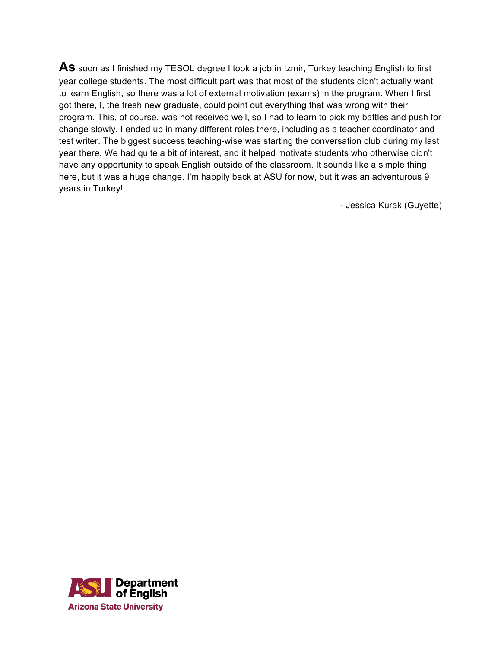As soon as I finished my TESOL degree I took a job in Izmir, Turkey teaching English to first year college students. The most difficult part was that most of the students didn't actually want to learn English, so there was a lot of external motivation (exams) in the program. When I first got there, I, the fresh new graduate, could point out everything that was wrong with their program. This, of course, was not received well, so I had to learn to pick my battles and push for change slowly. I ended up in many different roles there, including as a teacher coordinator and test writer. The biggest success teaching-wise was starting the conversation club during my last year there. We had quite a bit of interest, and it helped motivate students who otherwise didn't have any opportunity to speak English outside of the classroom. It sounds like a simple thing here, but it was a huge change. I'm happily back at ASU for now, but it was an adventurous 9 years in Turkey!

- Jessica Kurak (Guyette)

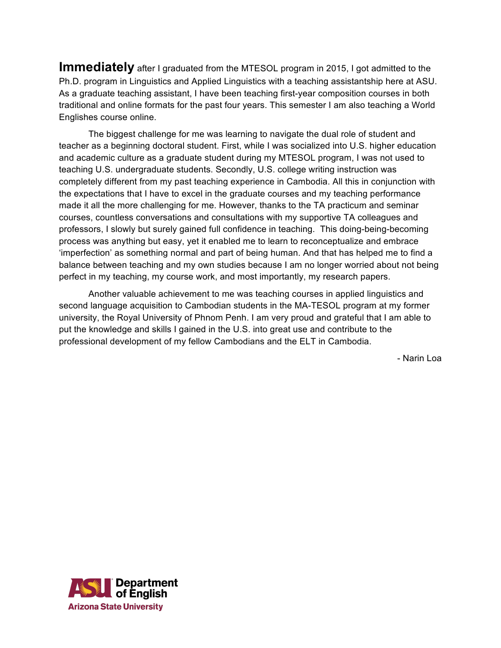**Immediately** after I graduated from the MTESOL program in 2015, I got admitted to the Ph.D. program in Linguistics and Applied Linguistics with a teaching assistantship here at ASU. As a graduate teaching assistant, I have been teaching first-year composition courses in both traditional and online formats for the past four years. This semester I am also teaching a World Englishes course online.

The biggest challenge for me was learning to navigate the dual role of student and teacher as a beginning doctoral student. First, while I was socialized into U.S. higher education and academic culture as a graduate student during my MTESOL program, I was not used to teaching U.S. undergraduate students. Secondly, U.S. college writing instruction was completely different from my past teaching experience in Cambodia. All this in conjunction with the expectations that I have to excel in the graduate courses and my teaching performance made it all the more challenging for me. However, thanks to the TA practicum and seminar courses, countless conversations and consultations with my supportive TA colleagues and professors, I slowly but surely gained full confidence in teaching. This doing-being-becoming process was anything but easy, yet it enabled me to learn to reconceptualize and embrace 'imperfection' as something normal and part of being human. And that has helped me to find a balance between teaching and my own studies because I am no longer worried about not being perfect in my teaching, my course work, and most importantly, my research papers.

Another valuable achievement to me was teaching courses in applied linguistics and second language acquisition to Cambodian students in the MA-TESOL program at my former university, the Royal University of Phnom Penh. I am very proud and grateful that I am able to put the knowledge and skills I gained in the U.S. into great use and contribute to the professional development of my fellow Cambodians and the ELT in Cambodia.

- Narin Loa

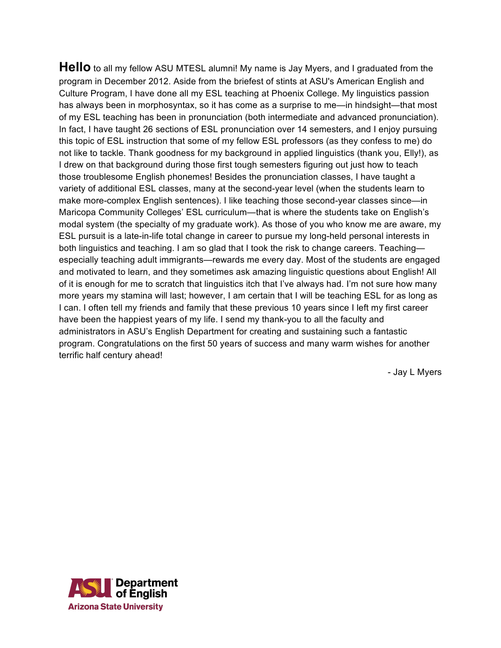**Hello** to all my fellow ASU MTESL alumni! My name is Jay Myers, and I graduated from the program in December 2012. Aside from the briefest of stints at ASU's American English and Culture Program, I have done all my ESL teaching at Phoenix College. My linguistics passion has always been in morphosyntax, so it has come as a surprise to me—in hindsight—that most of my ESL teaching has been in pronunciation (both intermediate and advanced pronunciation). In fact, I have taught 26 sections of ESL pronunciation over 14 semesters, and I enjoy pursuing this topic of ESL instruction that some of my fellow ESL professors (as they confess to me) do not like to tackle. Thank goodness for my background in applied linguistics (thank you, Elly!), as I drew on that background during those first tough semesters figuring out just how to teach those troublesome English phonemes! Besides the pronunciation classes, I have taught a variety of additional ESL classes, many at the second-year level (when the students learn to make more-complex English sentences). I like teaching those second-year classes since—in Maricopa Community Colleges' ESL curriculum—that is where the students take on English's modal system (the specialty of my graduate work). As those of you who know me are aware, my ESL pursuit is a late-in-life total change in career to pursue my long-held personal interests in both linguistics and teaching. I am so glad that I took the risk to change careers. Teaching especially teaching adult immigrants—rewards me every day. Most of the students are engaged and motivated to learn, and they sometimes ask amazing linguistic questions about English! All of it is enough for me to scratch that linguistics itch that I've always had. I'm not sure how many more years my stamina will last; however, I am certain that I will be teaching ESL for as long as I can. I often tell my friends and family that these previous 10 years since I left my first career have been the happiest years of my life. I send my thank-you to all the faculty and administrators in ASU's English Department for creating and sustaining such a fantastic program. Congratulations on the first 50 years of success and many warm wishes for another terrific half century ahead!

- Jay L Myers

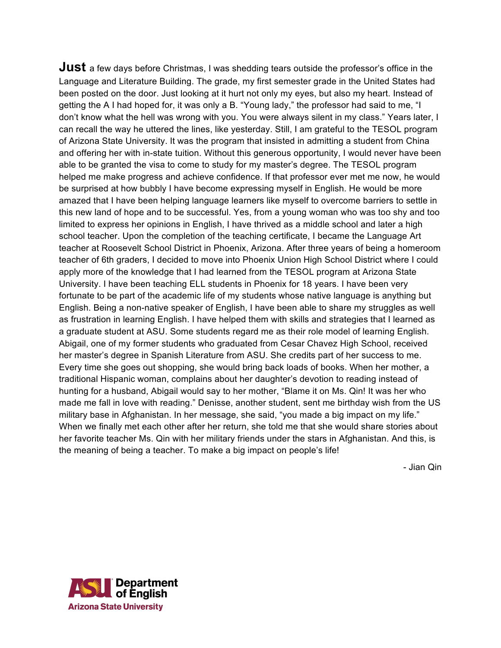**Just** a few days before Christmas, I was shedding tears outside the professor's office in the Language and Literature Building. The grade, my first semester grade in the United States had been posted on the door. Just looking at it hurt not only my eyes, but also my heart. Instead of getting the A I had hoped for, it was only a B. "Young lady," the professor had said to me, "I don't know what the hell was wrong with you. You were always silent in my class." Years later, I can recall the way he uttered the lines, like yesterday. Still, I am grateful to the TESOL program of Arizona State University. It was the program that insisted in admitting a student from China and offering her with in-state tuition. Without this generous opportunity, I would never have been able to be granted the visa to come to study for my master's degree. The TESOL program helped me make progress and achieve confidence. If that professor ever met me now, he would be surprised at how bubbly I have become expressing myself in English. He would be more amazed that I have been helping language learners like myself to overcome barriers to settle in this new land of hope and to be successful. Yes, from a young woman who was too shy and too limited to express her opinions in English, I have thrived as a middle school and later a high school teacher. Upon the completion of the teaching certificate, I became the Language Art teacher at Roosevelt School District in Phoenix, Arizona. After three years of being a homeroom teacher of 6th graders, I decided to move into Phoenix Union High School District where I could apply more of the knowledge that I had learned from the TESOL program at Arizona State University. I have been teaching ELL students in Phoenix for 18 years. I have been very fortunate to be part of the academic life of my students whose native language is anything but English. Being a non-native speaker of English, I have been able to share my struggles as well as frustration in learning English. I have helped them with skills and strategies that I learned as a graduate student at ASU. Some students regard me as their role model of learning English. Abigail, one of my former students who graduated from Cesar Chavez High School, received her master's degree in Spanish Literature from ASU. She credits part of her success to me. Every time she goes out shopping, she would bring back loads of books. When her mother, a traditional Hispanic woman, complains about her daughter's devotion to reading instead of hunting for a husband, Abigail would say to her mother, "Blame it on Ms. Qin! It was her who made me fall in love with reading." Denisse, another student, sent me birthday wish from the US military base in Afghanistan. In her message, she said, "you made a big impact on my life." When we finally met each other after her return, she told me that she would share stories about her favorite teacher Ms. Qin with her military friends under the stars in Afghanistan. And this, is the meaning of being a teacher. To make a big impact on people's life!

- Jian Qin